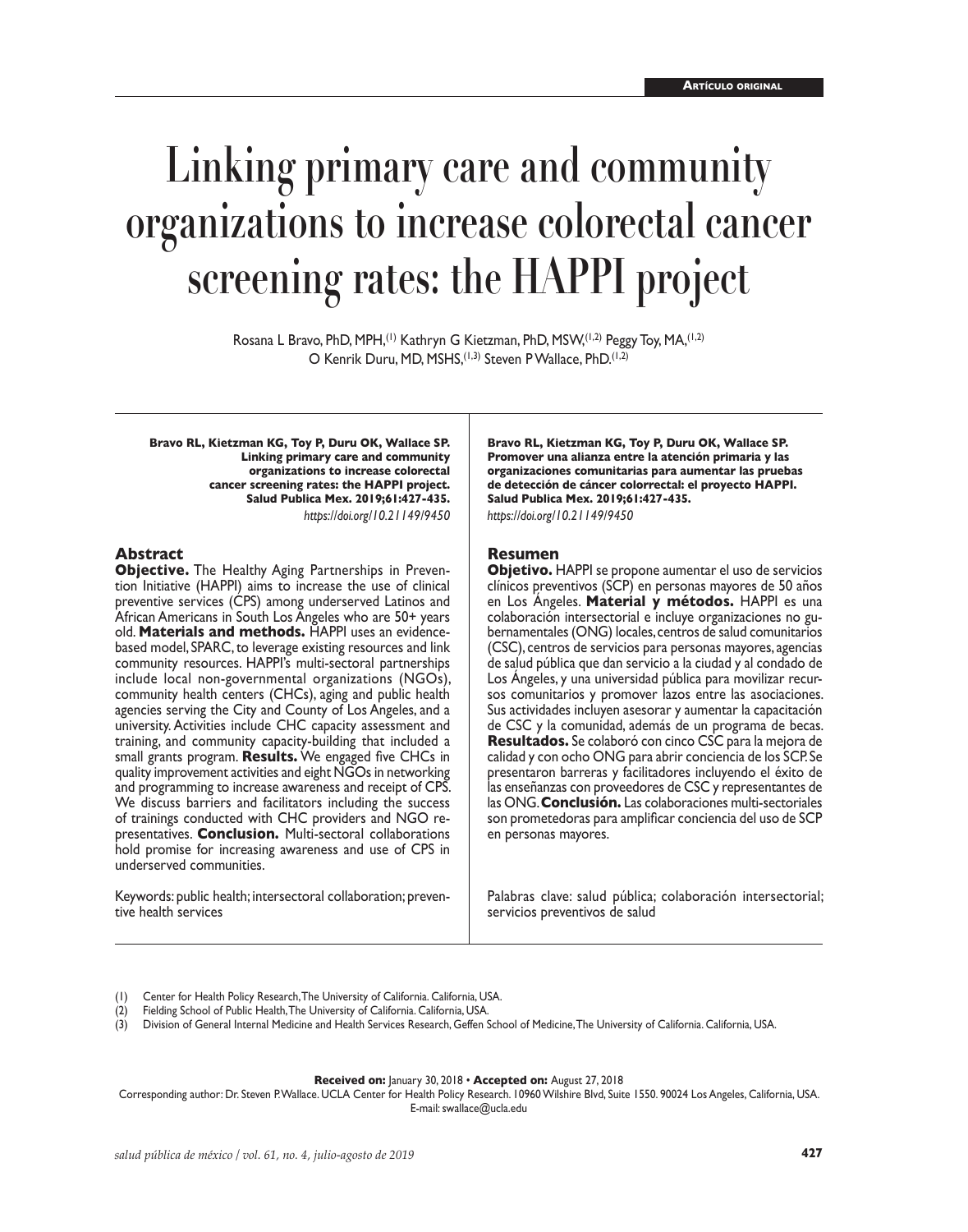# **Linking primary care and community organizations to increase colorectal cancer screening rates: the HAPPI project**

Rosana L Bravo, PhD, MPH, <sup>(1)</sup> Kathryn G Kietzman, PhD, MSW, <sup>(1,2)</sup> Peggy Toy, MA, <sup>(1,2)</sup> O Kenrik Duru, MD, MSHS,(1,3) Steven P Wallace, PhD.(1,2)

**Bravo RL, Kietzman KG, Toy P, Duru OK, Wallace SP. Linking primary care and community organizations to increase colorectal cancer screening rates: the HAPPI project. Salud Publica Mex. 2019;61:427-435.** *https://doi.org/10.21149/9450*

#### **Abstract**

**Objective.** The Healthy Aging Partnerships in Prevention Initiative (HAPPI) aims to increase the use of clinical preventive services (CPS) among underserved Latinos and African Americans in South Los Angeles who are 50+ years old. **Materials and methods.** HAPPI uses an evidencebased model, SPARC, to leverage existing resources and link community resources. HAPPI's multi-sectoral partnerships include local non-governmental organizations (NGOs), community health centers (CHCs), aging and public health agencies serving the City and County of Los Angeles, and a university. Activities include CHC capacity assessment and training, and community capacity-building that included a small grants program. **Results.** We engaged five CHCs in quality improvement activities and eight NGOs in networking and programming to increase awareness and receipt of CPS. We discuss barriers and facilitators including the success of trainings conducted with CHC providers and NGO re presentatives. **Conclusion.** Multi-sectoral collaborations hold promise for increasing awareness and use of CPS in underserved communities.

Keywords: public health; intersectoral collaboration; preventive health services

**Bravo RL, Kietzman KG, Toy P, Duru OK, Wallace SP. Promover una alianza entre la atención primaria y las organizaciones comunitarias para aumentar las pruebas de detección de cáncer colorrectal: el proyecto HAPPI. Salud Publica Mex. 2019;61:427-435.** *https://doi.org/10.21149/9450*

#### **Resumen**

**Objetivo.** HAPPI se propone aumentar el uso de servicios clínicos preventivos (SCP) en personas mayores de 50 años en Los Ángeles. **Material y métodos.** HAPPI es una colaboración intersectorial e incluye organizaciones no gubernamentales (ONG) locales, centros de salud comunitarios (CSC), centros de servicios para personas mayores, agencias de salud pública que dan servicio a la ciudad y al condado de Los Ángeles, y una universidad pública para movilizar recursos comunitarios y promover lazos entre las asociaciones. Sus actividades incluyen asesorar y aumentar la capacitación de CSC y la comunidad, además de un programa de becas. **Resultados.** Se colaboró con cinco CSC para la mejora de calidad y con ocho ONG para abrir conciencia de los SCP. Se presentaron barreras y facilitadores incluyendo el éxito de las enseñanzas con proveedores de CSC y representantes de las ONG. **Conclusión.** Las colaboraciones multi-sectoriales son prometedoras para amplificar conciencia del uso de SCP en personas mayores.

Palabras clave: salud pública; colaboración intersectorial; servicios preventivos de salud

Center for Health Policy Research, The University of California. California, USA.

- Fielding School of Public Health, The University of California. California, USA.
- (3) Division of General Internal Medicine and Health Services Research, Geffen School of Medicine, The University of California. California, USA.

#### **Received on:** January 30, 2018 • **Accepted on:** August 27, 2018

Corresponding author: Dr. Steven P. Wallace. UCLA Center for Health Policy Research. 10960 Wilshire Blvd, Suite 1550. 90024 Los Angeles, California, USA. E-mail: swallace@ucla.edu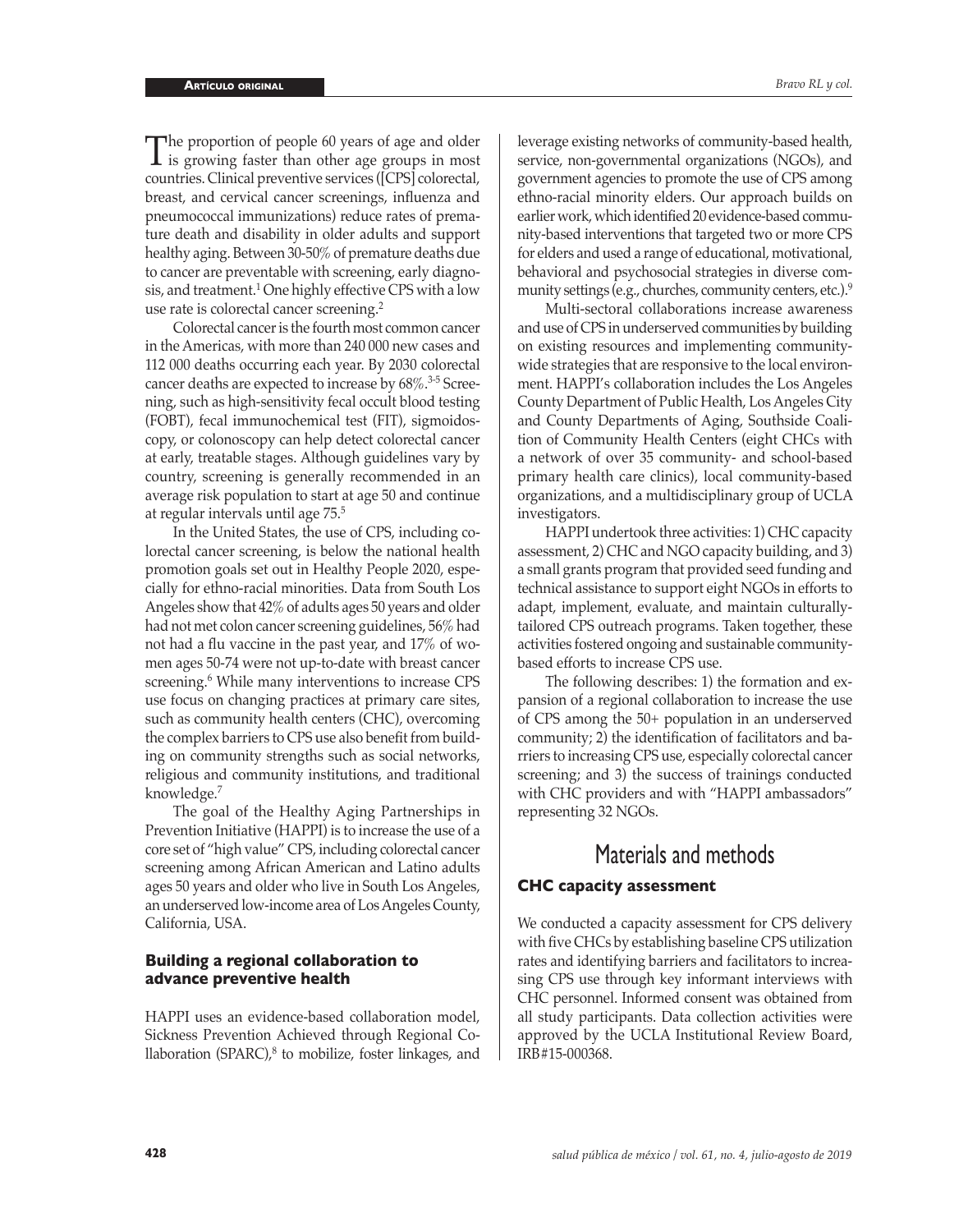The proportion of people 60 years of age and older<br>is growing faster than other age groups in most countries. Clinical preventive services ([CPS] colorectal, breast, and cervical cancer screenings, influenza and pneumococcal immunizations) reduce rates of premature death and disability in older adults and support healthy aging. Between 30-50% of premature deaths due to cancer are preventable with screening, early diagnosis, and treatment.<sup>1</sup> One highly effective CPS with a low use rate is colorectal cancer screening.<sup>2</sup>

Colorectal cancer is the fourth most common cancer in the Americas, with more than 240 000 new cases and 112 000 deaths occurring each year. By 2030 colorectal cancer deaths are expected to increase by 68%.<sup>3-5</sup> Screening, such as high-sensitivity fecal occult blood testing (FOBT), fecal immunochemical test (FIT), sigmoidoscopy, or colonoscopy can help detect colorectal cancer at early, treatable stages. Although guidelines vary by country, screening is generally recommended in an average risk population to start at age 50 and continue at regular intervals until age 75.<sup>5</sup>

In the United States, the use of CPS, including colorectal cancer screening, is below the national health promotion goals set out in Healthy People 2020, especially for ethno-racial minorities. Data from South Los Angeles show that 42% of adults ages 50 years and older had not met colon cancer screening guidelines, 56% had not had a flu vaccine in the past year, and 17% of women ages 50-74 were not up-to-date with breast cancer screening.<sup>6</sup> While many interventions to increase CPS use focus on changing practices at primary care sites, such as community health centers (CHC), overcoming the complex barriers to CPS use also benefit from building on community strengths such as social networks, religious and community institutions, and traditional knowledge.<sup>7</sup>

The goal of the Healthy Aging Partnerships in Prevention Initiative (HAPPI) is to increase the use of a core set of "high value" CPS, including colorectal cancer screening among African American and Latino adults ages 50 years and older who live in South Los Angeles, an underserved low-income area of Los Angeles County, California, USA.

#### **Building a regional collaboration to advance preventive health**

HAPPI uses an evidence-based collaboration model, Sickness Prevention Achieved through Regional Collaboration (SPARC),<sup>8</sup> to mobilize, foster linkages, and leverage existing networks of community-based health, service, non-governmental organizations (NGOs), and government agencies to promote the use of CPS among ethno-racial minority elders. Our approach builds on earlier work, which identified 20 evidence-based community-based interventions that targeted two or more CPS for elders and used a range of educational, motivational, behavioral and psychosocial strategies in diverse community settings (e.g., churches, community centers, etc.). 9

Multi-sectoral collaborations increase awareness and use of CPS in underserved communities by building on existing resources and implementing communitywide strategies that are responsive to the local environment. HAPPI's collaboration includes the Los Angeles County Department of Public Health, Los Angeles City and County Departments of Aging, Southside Coalition of Community Health Centers (eight CHCs with a network of over 35 community- and school-based primary health care clinics), local community-based organizations, and a multidisciplinary group of UCLA investigators.

HAPPI undertook three activities: 1) CHC capacity assessment, 2) CHC and NGO capacity building, and 3) a small grants program that provided seed funding and technical assistance to support eight NGOs in efforts to adapt, implement, evaluate, and maintain culturallytailored CPS outreach programs. Taken together, these activities fostered ongoing and sustainable communitybased efforts to increase CPS use.

The following describes: 1) the formation and expansion of a regional collaboration to increase the use of CPS among the 50+ population in an underserved community; 2) the identification of facilitators and barriers to increasing CPS use, especially colorectal cancer screening; and 3) the success of trainings conducted with CHC providers and with "HAPPI ambassadors" representing 32 NGOs.

# Materials and methods

## **CHC capacity assessment**

We conducted a capacity assessment for CPS delivery with five CHCs by establishing baseline CPS utilization rates and identifying barriers and facilitators to increasing CPS use through key informant interviews with CHC personnel. Informed consent was obtained from all study participants. Data collection activities were approved by the UCLA Institutional Review Board, IRB#15-000368.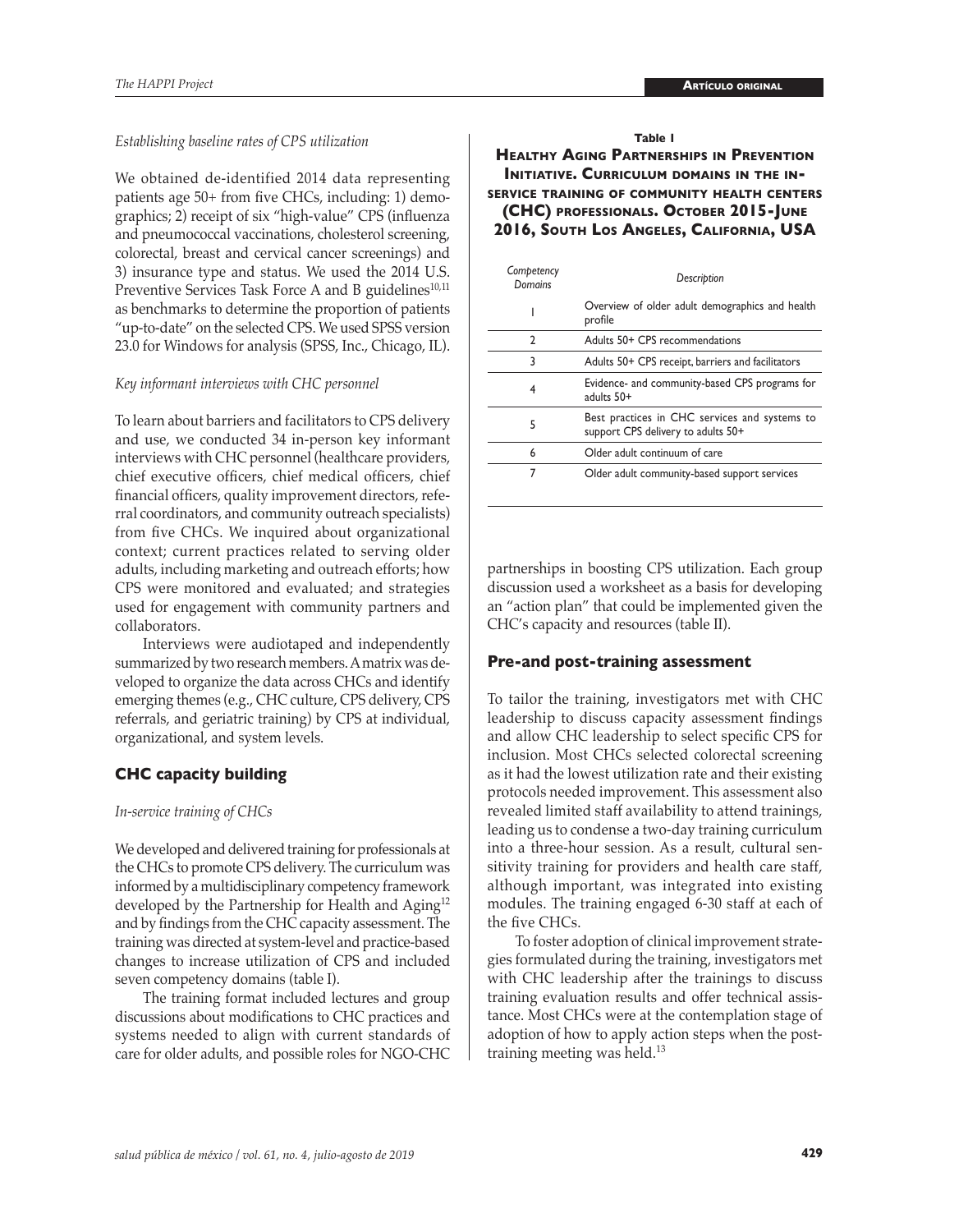#### *Establishing baseline rates of CPS utilization*

We obtained de-identified 2014 data representing patients age 50+ from five CHCs, including: 1) demographics; 2) receipt of six "high-value" CPS (influenza and pneumococcal vaccinations, cholesterol screening, colorectal, breast and cervical cancer screenings) and 3) insurance type and status. We used the 2014 U.S. Preventive Services Task Force A and B guidelines<sup>10,11</sup> as benchmarks to determine the proportion of patients "up-to-date" on the selected CPS. We used SPSS version 23.0 for Windows for analysis (SPSS, Inc., Chicago, IL).

#### *Key informant interviews with CHC personnel*

To learn about barriers and facilitators to CPS delivery and use, we conducted 34 in-person key informant interviews with CHC personnel (healthcare providers, chief executive officers, chief medical officers, chief financial officers, quality improvement directors, referral coordinators, and community outreach specialists) from five CHCs. We inquired about organizational context; current practices related to serving older adults, including marketing and outreach efforts; how CPS were monitored and evaluated; and strategies used for engagement with community partners and collaborators.

Interviews were audiotaped and independently summarized by two research members. A matrix was developed to organize the data across CHCs and identify emerging themes (e.g., CHC culture, CPS delivery, CPS referrals, and geriatric training) by CPS at individual, organizational, and system levels.

#### **CHC capacity building**

#### *In-service training of CHCs*

We developed and delivered training for professionals at the CHCs to promote CPS delivery. The curriculum was informed by a multidisciplinary competency framework developed by the Partnership for Health and Aging<sup>12</sup> and by findings from the CHC capacity assessment. The training was directed at system-level and practice-based changes to increase utilization of CPS and included seven competency domains (table I).

The training format included lectures and group discussions about modifications to CHC practices and systems needed to align with current standards of care for older adults, and possible roles for NGO-CHC

#### **Table 1**

**Healthy Aging Partnerships in Prevention INITIATIVE. CURRICULUM DOMAINS IN THE INservice training of community health centers (CHC) professionals. October 2015-June 2016, South Los Angeles, California, USA**

| Competency<br>Domains | Description                                                                         |  |  |
|-----------------------|-------------------------------------------------------------------------------------|--|--|
|                       | Overview of older adult demographics and health<br>profile                          |  |  |
| C.                    | Adults 50+ CPS recommendations                                                      |  |  |
| 3                     | Adults 50+ CPS receipt, barriers and facilitators                                   |  |  |
| 4                     | Evidence- and community-based CPS programs for<br>adults 50+                        |  |  |
| 5                     | Best practices in CHC services and systems to<br>support CPS delivery to adults 50+ |  |  |
| 6                     | Older adult continuum of care                                                       |  |  |
| 7                     | Older adult community-based support services                                        |  |  |

partnerships in boosting CPS utilization. Each group discussion used a worksheet as a basis for developing an "action plan" that could be implemented given the CHC's capacity and resources (table II).

#### **Pre-and post-training assessment**

To tailor the training, investigators met with CHC leadership to discuss capacity assessment findings and allow CHC leadership to select specific CPS for inclusion. Most CHCs selected colorectal screening as it had the lowest utilization rate and their existing protocols needed improvement. This assessment also revealed limited staff availability to attend trainings, leading us to condense a two-day training curriculum into a three-hour session. As a result, cultural sensitivity training for providers and health care staff, although important, was integrated into existing modules. The training engaged 6-30 staff at each of the five CHCs.

To foster adoption of clinical improvement strategies formulated during the training, investigators met with CHC leadership after the trainings to discuss training evaluation results and offer technical assistance. Most CHCs were at the contemplation stage of adoption of how to apply action steps when the posttraining meeting was held.<sup>13</sup>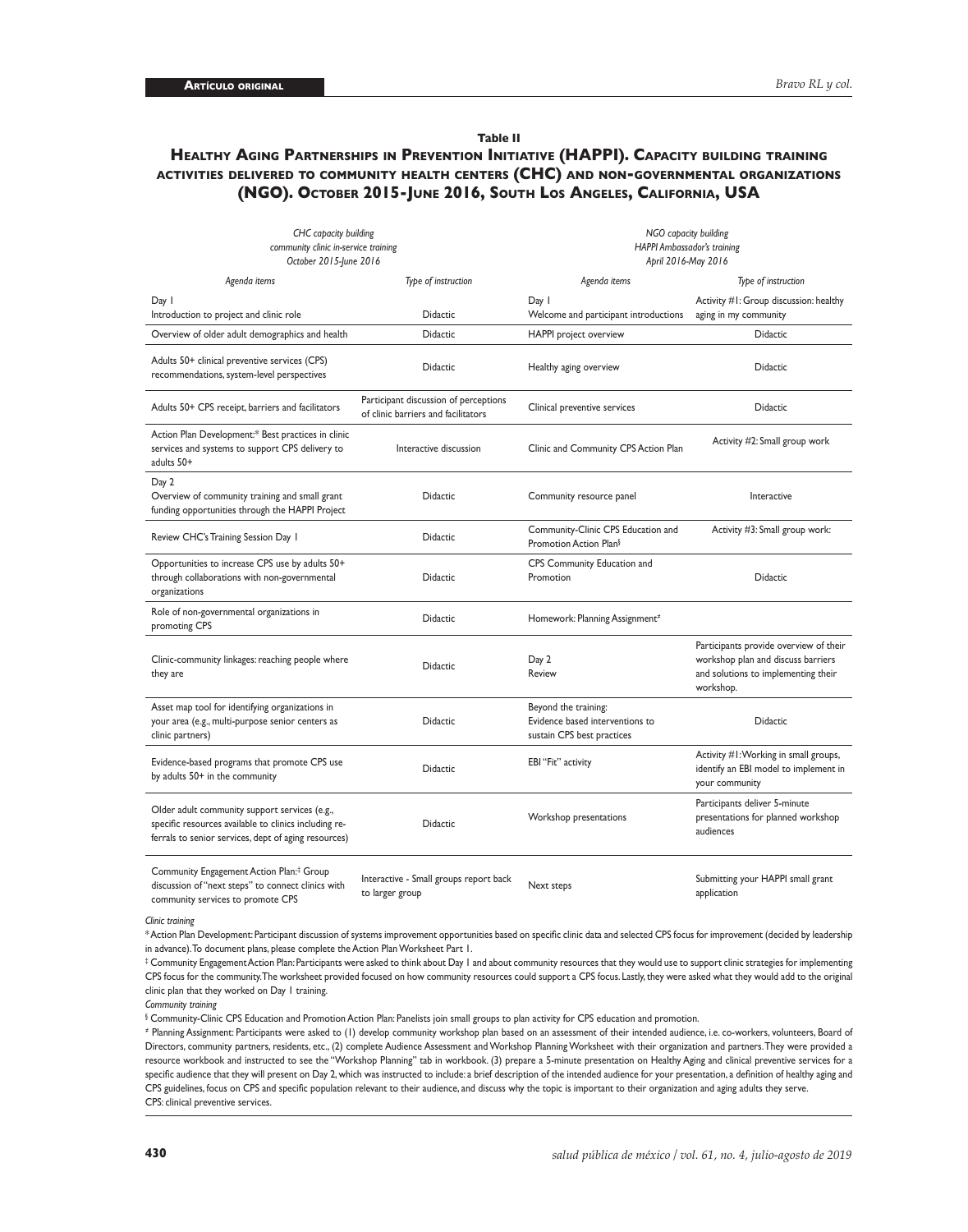#### **Table II**

#### **Healthy Aging Partnerships in Prevention Initiative (HAPPI). Capacity building training activities delivered to community health centers (CHC) and non-governmental organizations (NGO). October 2015-June 2016, South Los Angeles, California, USA**

| CHC capacity building<br>community clinic in-service training<br>October 2015-June 2016                                                                        |                                                                              | NGO capacity building<br><b>HAPPI Ambassador's training</b><br>April 2016-May 2016    |                                                                                                                                  |  |
|----------------------------------------------------------------------------------------------------------------------------------------------------------------|------------------------------------------------------------------------------|---------------------------------------------------------------------------------------|----------------------------------------------------------------------------------------------------------------------------------|--|
| Agenda items                                                                                                                                                   | Type of instruction                                                          | Agenda items                                                                          | Type of instruction                                                                                                              |  |
| Day I<br>Introduction to project and clinic role                                                                                                               | <b>Didactic</b>                                                              | Day I<br>Welcome and participant introductions                                        | Activity #1: Group discussion: healthy<br>aging in my community                                                                  |  |
| Overview of older adult demographics and health                                                                                                                | <b>Didactic</b>                                                              | HAPPI project overview                                                                | <b>Didactic</b>                                                                                                                  |  |
| Adults 50+ clinical preventive services (CPS)<br>recommendations, system-level perspectives                                                                    | <b>Didactic</b>                                                              | Healthy aging overview                                                                | Didactic                                                                                                                         |  |
| Adults 50+ CPS receipt, barriers and facilitators                                                                                                              | Participant discussion of perceptions<br>of clinic barriers and facilitators | Clinical preventive services                                                          | Didactic                                                                                                                         |  |
| Action Plan Development:* Best practices in clinic<br>services and systems to support CPS delivery to<br>adults 50+                                            | Interactive discussion                                                       | Clinic and Community CPS Action Plan                                                  | Activity #2: Small group work                                                                                                    |  |
| Day 2<br>Overview of community training and small grant<br>funding opportunities through the HAPPI Project                                                     | Didactic                                                                     | Community resource panel                                                              | Interactive                                                                                                                      |  |
| Review CHC's Training Session Day 1                                                                                                                            | <b>Didactic</b>                                                              | Community-Clinic CPS Education and<br>Promotion Action Plan <sup>§</sup>              | Activity #3: Small group work:                                                                                                   |  |
| Opportunities to increase CPS use by adults 50+<br>through collaborations with non-governmental<br>organizations                                               | <b>Didactic</b>                                                              | CPS Community Education and<br>Promotion                                              | <b>Didactic</b>                                                                                                                  |  |
| Role of non-governmental organizations in<br>promoting CPS                                                                                                     | Didactic                                                                     | Homework: Planning Assignment <sup>*</sup>                                            |                                                                                                                                  |  |
| Clinic-community linkages: reaching people where<br>they are                                                                                                   | <b>Didactic</b>                                                              | Day 2<br>Review                                                                       | Participants provide overview of their<br>workshop plan and discuss barriers<br>and solutions to implementing their<br>workshop. |  |
| Asset map tool for identifying organizations in<br>your area (e.g., multi-purpose senior centers as<br>clinic partners)                                        | <b>Didactic</b>                                                              | Beyond the training:<br>Evidence based interventions to<br>sustain CPS best practices | Didactic                                                                                                                         |  |
| Evidence-based programs that promote CPS use<br>by adults 50+ in the community                                                                                 | <b>Didactic</b>                                                              | EBI "Fit" activity                                                                    | Activity #1: Working in small groups,<br>identify an EBI model to implement in<br>your community                                 |  |
| Older adult community support services (e.g.,<br>specific resources available to clinics including re-<br>ferrals to senior services, dept of aging resources) | <b>Didactic</b>                                                              | Workshop presentations                                                                | Participants deliver 5-minute<br>presentations for planned workshop<br>audiences                                                 |  |
| Community Engagement Action Plan: <sup>‡</sup> Group<br>discussion of "next steps" to connect clinics with<br>community services to promote CPS                | Interactive - Small groups report back<br>to larger group                    | Next steps                                                                            | Submitting your HAPPI small grant<br>application                                                                                 |  |

*Clinic training*

\* Action Plan Development: Participant discussion of systems improvement opportunities based on specific clinic data and selected CPS focus for improvement (decided by leadership in advance). To document plans, please complete the Action Plan Worksheet Part 1.

 $^\ddag$  Community Engagement Action Plan: Participants were asked to think about Day 1 and about community resources that they would use to support clinic strategies for implementing CPS focus for the community. The worksheet provided focused on how community resources could support a CPS focus. Lastly, they were asked what they would add to the original clinic plan that they worked on Day 1 training.

*Community training*

 $\,\!^{\circ}$  Community-Clinic CPS Education and Promotion Action Plan: Panelists join small groups to plan activity for CPS education and promotion.

� Planning Assignment: Participants were asked to (1) develop community workshop plan based on an assessment of their intended audience, i.e. co-workers, volunteers, Board of Directors, community partners, residents, etc., (2) complete Audience Assessment and Workshop Planning Worksheet with their organization and partners. They were provided a resource workbook and instructed to see the "Workshop Planning" tab in workbook. (3) prepare a 5-minute presentation on Healthy Aging and clinical preventive services for a specific audience that they will present on Day 2, which was instructed to include: a brief description of the intended audience for your presentation, a definition of healthy aging and CPS guidelines, focus on CPS and specific population relevant to their audience, and discuss why the topic is important to their organization and aging adults they serve. CPS: clinical preventive services.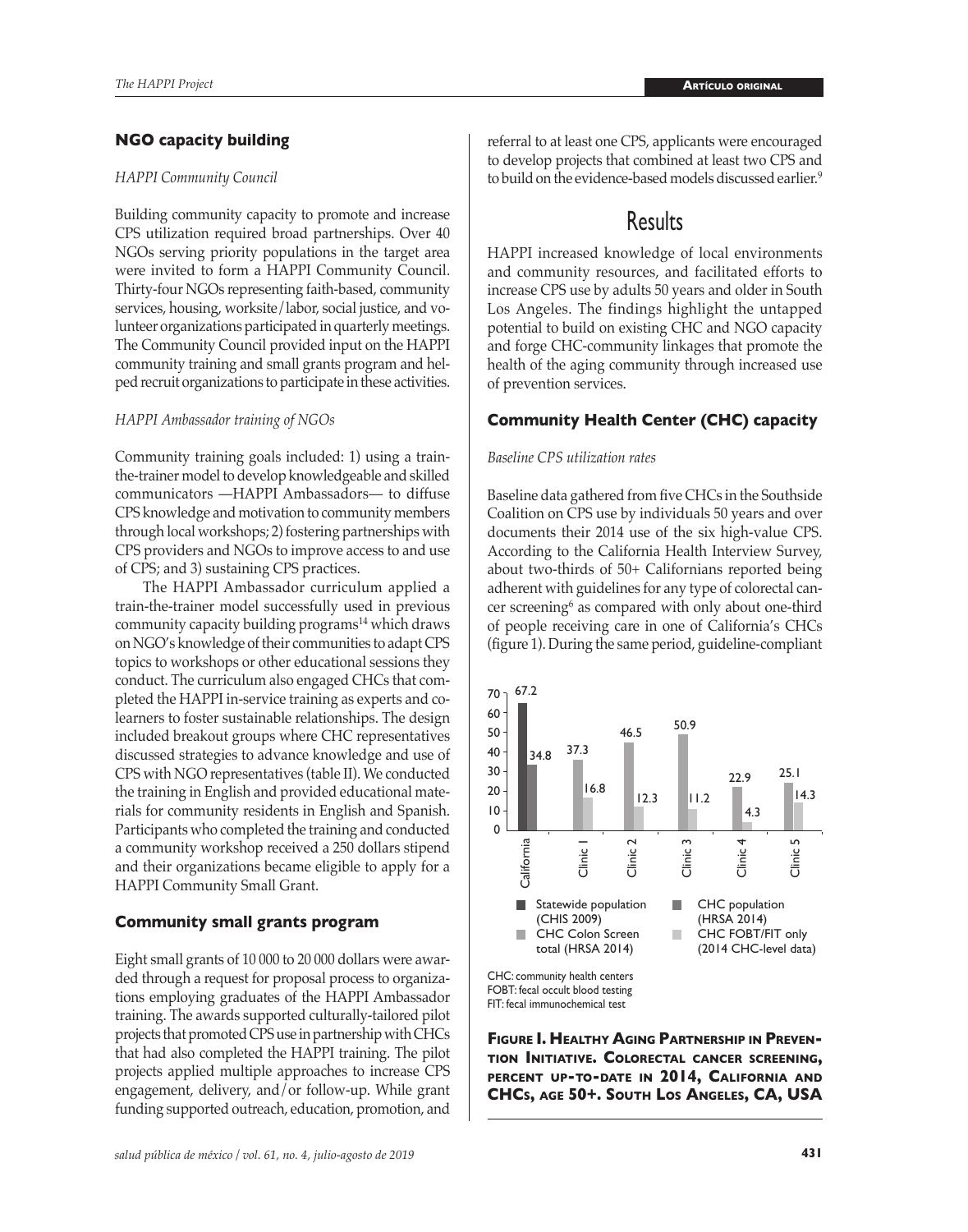### **NGO capacity building**

#### *HAPPI Community Council*

Building community capacity to promote and increase CPS utilization required broad partnerships. Over 40 NGOs serving priority populations in the target area were invited to form a HAPPI Community Council. Thirty-four NGOs representing faith-based, community services, housing, worksite/labor, social justice, and volunteer organizations participated in quarterly meetings. The Community Council provided input on the HAPPI community training and small grants program and helped recruit organizations to participate in these activities.

#### *HAPPI Ambassador training of NGOs*

Community training goals included: 1) using a trainthe-trainer model to develop knowledgeable and skilled communicators —HAPPI Ambassadors— to diffuse CPS knowledge and motivation to community members through local workshops; 2) fostering partnerships with CPS providers and NGOs to improve access to and use of CPS; and 3) sustaining CPS practices.

The HAPPI Ambassador curriculum applied a train-the-trainer model successfully used in previous community capacity building programs<sup>14</sup> which draws on NGO's knowledge of their communities to adapt CPS topics to workshops or other educational sessions they conduct. The curriculum also engaged CHCs that completed the HAPPI in-service training as experts and colearners to foster sustainable relationships. The design included breakout groups where CHC representatives discussed strategies to advance knowledge and use of CPS with NGO representatives (table II). We conducted the training in English and provided educational materials for community residents in English and Spanish. Participants who completed the training and conducted a community workshop received a 250 dollars stipend and their organizations became eligible to apply for a HAPPI Community Small Grant.

#### **Community small grants program**

Eight small grants of 10 000 to 20 000 dollars were awarded through a request for proposal process to organizations employing graduates of the HAPPI Ambassador training. The awards supported culturally-tailored pilot projects that promoted CPS use in partnership with CHCs that had also completed the HAPPI training. The pilot projects applied multiple approaches to increase CPS engagement, delivery, and/or follow-up. While grant funding supported outreach, education, promotion, and referral to at least one CPS, applicants were encouraged to develop projects that combined at least two CPS and to build on the evidence-based models discussed earlier.<sup>9</sup>

## Results

HAPPI increased knowledge of local environments and community resources, and facilitated efforts to increase CPS use by adults 50 years and older in South Los Angeles. The findings highlight the untapped potential to build on existing CHC and NGO capacity and forge CHC-community linkages that promote the health of the aging community through increased use of prevention services.

#### **Community Health Center (CHC) capacity**

#### *Baseline CPS utilization rates*

Baseline data gathered from five CHCs in the Southside Coalition on CPS use by individuals 50 years and over documents their 2014 use of the six high-value CPS. According to the California Health Interview Survey, about two-thirds of 50+ Californians reported being adherent with guidelines for any type of colorectal cancer screening<sup>6</sup> as compared with only about one-third of people receiving care in one of California's CHCs (figure 1). During the same period, guideline-compliant



**Figure I. Healthy Aging Partnership in Prevention Initiative. Colorectal cancer screening, percent up-to-date in 2014, California and CHCs, age 50+. South Los Angeles, CA, USA**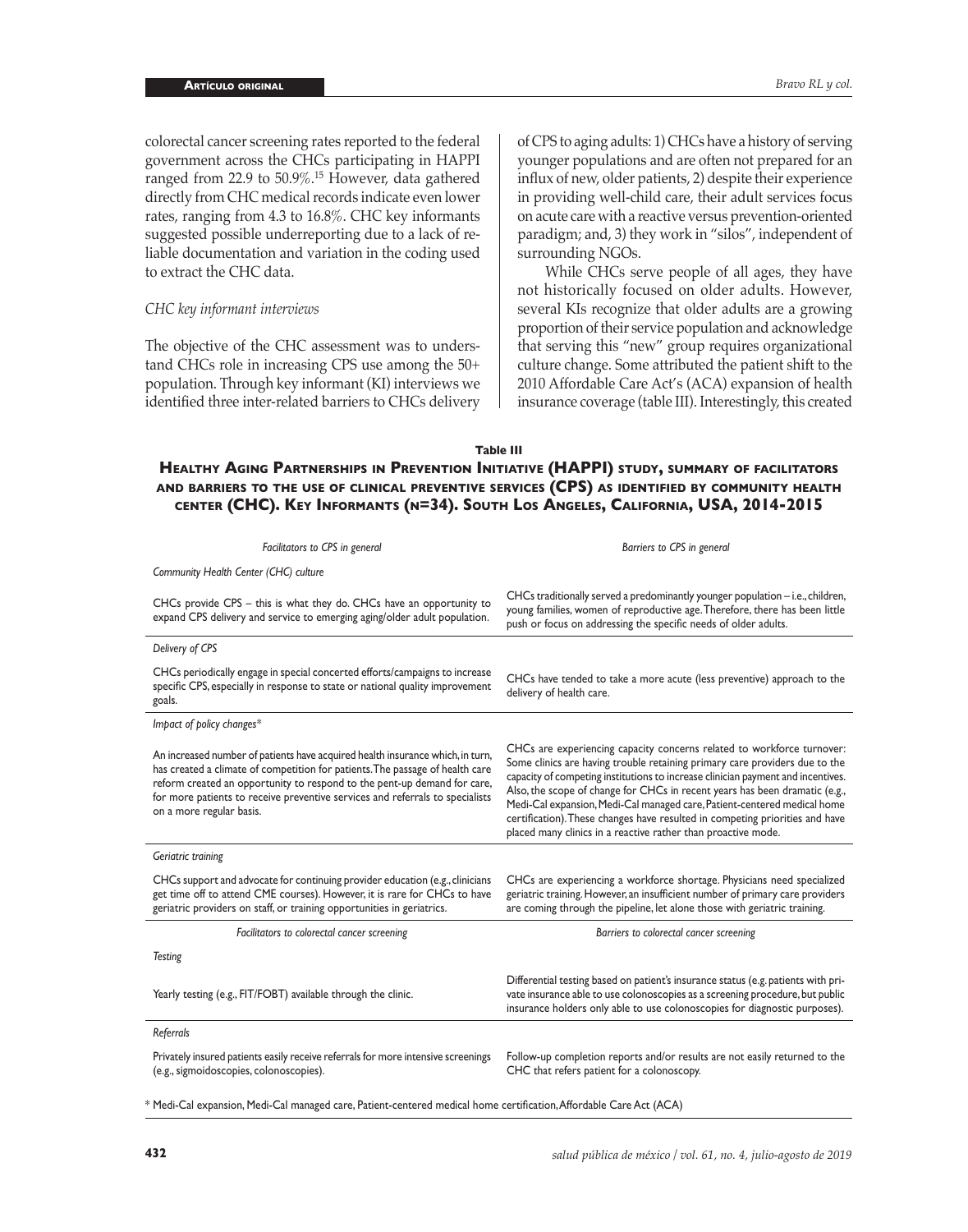colorectal cancer screening rates reported to the federal government across the CHCs participating in HAPPI ranged from 22.9 to 50.9%.<sup>15</sup> However, data gathered directly from CHC medical records indicate even lower rates, ranging from 4.3 to 16.8%. CHC key informants suggested possible underreporting due to a lack of reliable documentation and variation in the coding used to extract the CHC data.

#### *CHC key informant interviews*

The objective of the CHC assessment was to understand CHCs role in increasing CPS use among the 50+ population. Through key informant (KI) interviews we identified three inter-related barriers to CHCs delivery of CPS to aging adults: 1) CHCs have a history of serving younger populations and are often not prepared for an influx of new, older patients, 2) despite their experience in providing well-child care, their adult services focus on acute care with a reactive versus prevention-oriented paradigm; and, 3) they work in "silos", independent of surrounding NGOs.

While CHCs serve people of all ages, they have not historically focused on older adults. However, several KIs recognize that older adults are a growing proportion of their service population and acknowledge that serving this "new" group requires organizational culture change. Some attributed the patient shift to the 2010 Affordable Care Act's (ACA) expansion of health insurance coverage (table III). Interestingly, this created

**Table III**

## **Healthy Aging Partnerships in Prevention Initiative (HAPPI) study, summary of facilitators and barriers to the use of clinical preventive services (CPS) as identified by community health center (CHC). Key Informants (n=34). South Los Angeles, California, USA, 2014-2015**

| Facilitators to CPS in general                                                                                                                                                                                                                                                                                                                           | Barriers to CPS in general                                                                                                                                                                                                                                                                                                                                                                                                                                                                                                                            |  |  |  |
|----------------------------------------------------------------------------------------------------------------------------------------------------------------------------------------------------------------------------------------------------------------------------------------------------------------------------------------------------------|-------------------------------------------------------------------------------------------------------------------------------------------------------------------------------------------------------------------------------------------------------------------------------------------------------------------------------------------------------------------------------------------------------------------------------------------------------------------------------------------------------------------------------------------------------|--|--|--|
| Community Health Center (CHC) culture                                                                                                                                                                                                                                                                                                                    |                                                                                                                                                                                                                                                                                                                                                                                                                                                                                                                                                       |  |  |  |
| CHCs provide CPS - this is what they do. CHCs have an opportunity to<br>expand CPS delivery and service to emerging aging/older adult population.                                                                                                                                                                                                        | CHCs traditionally served a predominantly younger population - i.e., children,<br>young families, women of reproductive age. Therefore, there has been little<br>push or focus on addressing the specific needs of older adults.                                                                                                                                                                                                                                                                                                                      |  |  |  |
| Delivery of CPS                                                                                                                                                                                                                                                                                                                                          |                                                                                                                                                                                                                                                                                                                                                                                                                                                                                                                                                       |  |  |  |
| CHCs periodically engage in special concerted efforts/campaigns to increase<br>specific CPS, especially in response to state or national quality improvement<br>goals.                                                                                                                                                                                   | CHCs have tended to take a more acute (less preventive) approach to the<br>delivery of health care.                                                                                                                                                                                                                                                                                                                                                                                                                                                   |  |  |  |
| Impact of policy changes*                                                                                                                                                                                                                                                                                                                                |                                                                                                                                                                                                                                                                                                                                                                                                                                                                                                                                                       |  |  |  |
| An increased number of patients have acquired health insurance which, in turn,<br>has created a climate of competition for patients. The passage of health care<br>reform created an opportunity to respond to the pent-up demand for care,<br>for more patients to receive preventive services and referrals to specialists<br>on a more regular basis. | CHCs are experiencing capacity concerns related to workforce turnover:<br>Some clinics are having trouble retaining primary care providers due to the<br>capacity of competing institutions to increase clinician payment and incentives.<br>Also, the scope of change for CHCs in recent years has been dramatic (e.g.,<br>Medi-Cal expansion, Medi-Cal managed care, Patient-centered medical home<br>certification). These changes have resulted in competing priorities and have<br>placed many clinics in a reactive rather than proactive mode. |  |  |  |
| Geriatric training                                                                                                                                                                                                                                                                                                                                       |                                                                                                                                                                                                                                                                                                                                                                                                                                                                                                                                                       |  |  |  |
| CHCs support and advocate for continuing provider education (e.g., clinicians<br>get time off to attend CME courses). However, it is rare for CHCs to have<br>geriatric providers on staff, or training opportunities in geriatrics.                                                                                                                     | CHCs are experiencing a workforce shortage. Physicians need specialized<br>geriatric training. However, an insufficient number of primary care providers<br>are coming through the pipeline, let alone those with geriatric training.                                                                                                                                                                                                                                                                                                                 |  |  |  |
| Facilitators to colorectal cancer screening                                                                                                                                                                                                                                                                                                              | Barriers to colorectal cancer screening                                                                                                                                                                                                                                                                                                                                                                                                                                                                                                               |  |  |  |
| <b>Testing</b>                                                                                                                                                                                                                                                                                                                                           |                                                                                                                                                                                                                                                                                                                                                                                                                                                                                                                                                       |  |  |  |
| Yearly testing (e.g., FIT/FOBT) available through the clinic.                                                                                                                                                                                                                                                                                            | Differential testing based on patient's insurance status (e.g. patients with pri-<br>vate insurance able to use colonoscopies as a screening procedure, but public<br>insurance holders only able to use colonoscopies for diagnostic purposes).                                                                                                                                                                                                                                                                                                      |  |  |  |
| Referrals                                                                                                                                                                                                                                                                                                                                                |                                                                                                                                                                                                                                                                                                                                                                                                                                                                                                                                                       |  |  |  |
| Privately insured patients easily receive referrals for more intensive screenings<br>(e.g., sigmoidoscopies, colonoscopies).                                                                                                                                                                                                                             | Follow-up completion reports and/or results are not easily returned to the<br>CHC that refers patient for a colonoscopy.                                                                                                                                                                                                                                                                                                                                                                                                                              |  |  |  |

\* Medi-Cal expansion, Medi-Cal managed care, Patient-centered medical home certification, Affordable Care Act (ACA)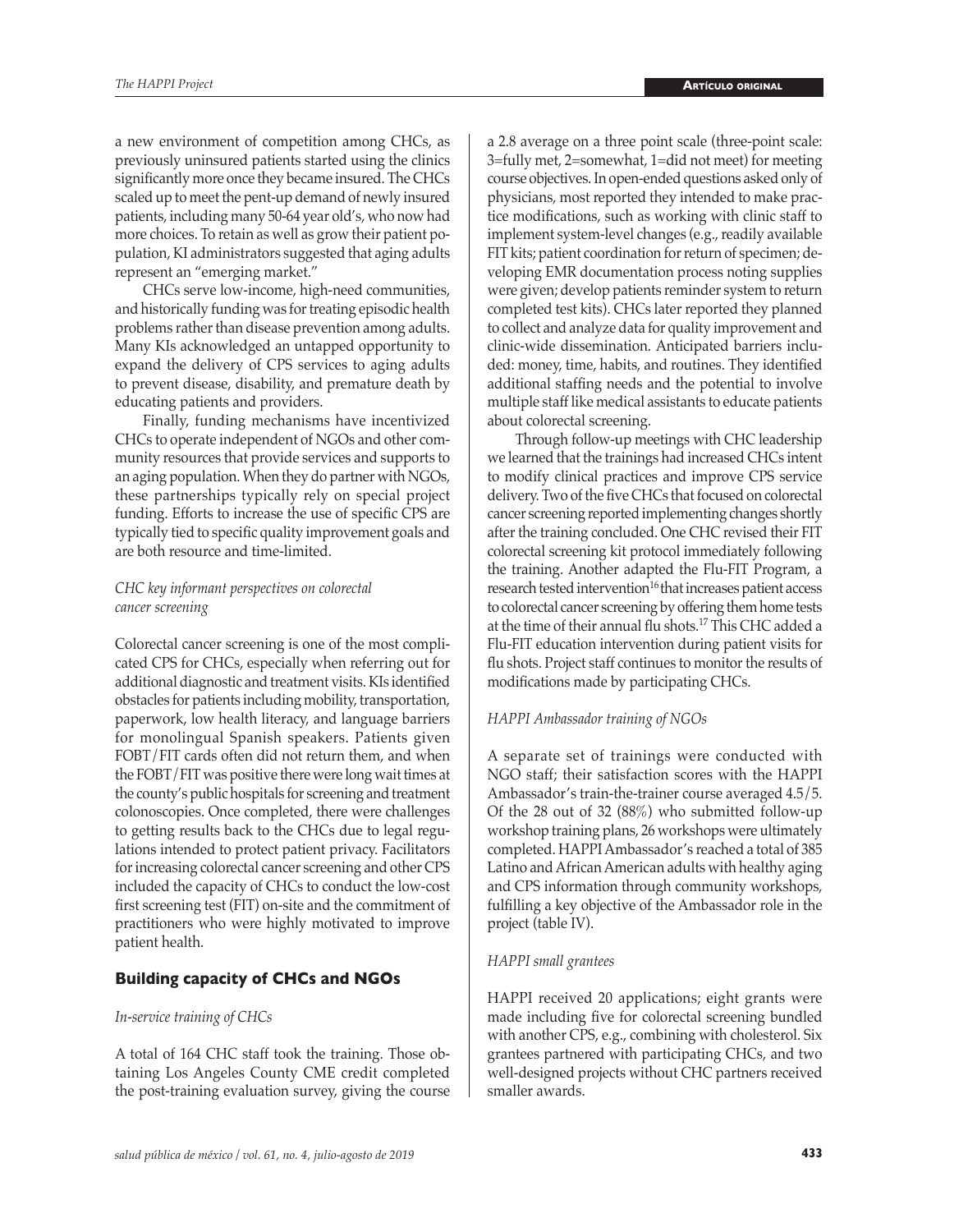a new environment of competition among CHCs, as previously uninsured patients started using the clinics significantly more once they became insured. The CHCs scaled up to meet the pent-up demand of newly insured patients, including many 50-64 year old's, who now had more choices. To retain as well as grow their patient population, KI administrators suggested that aging adults represent an "emerging market."

CHCs serve low-income, high-need communities, and historically funding was for treating episodic health problems rather than disease prevention among adults. Many KIs acknowledged an untapped opportunity to expand the delivery of CPS services to aging adults to prevent disease, disability, and premature death by educating patients and providers.

Finally, funding mechanisms have incentivized CHCs to operate independent of NGOs and other community resources that provide services and supports to an aging population. When they do partner with NGOs, these partnerships typically rely on special project funding. Efforts to increase the use of specific CPS are typically tied to specific quality improvement goals and are both resource and time-limited.

#### *CHC key informant perspectives on colorectal cancer screening*

Colorectal cancer screening is one of the most complicated CPS for CHCs, especially when referring out for additional diagnostic and treatment visits. KIs identified obstacles for patients including mobility, transportation, paperwork, low health literacy, and language barriers for monolingual Spanish speakers. Patients given FOBT/FIT cards often did not return them, and when the FOBT/FIT was positive there were long wait times at the county's public hospitals for screening and treatment colonoscopies. Once completed, there were challenges to getting results back to the CHCs due to legal regulations intended to protect patient privacy. Facilitators for increasing colorectal cancer screening and other CPS included the capacity of CHCs to conduct the low-cost first screening test (FIT) on-site and the commitment of practitioners who were highly motivated to improve patient health.

#### **Building capacity of CHCs and NGOs**

#### *In-service training of CHCs*

A total of 164 CHC staff took the training. Those obtaining Los Angeles County CME credit completed the post-training evaluation survey, giving the course a 2.8 average on a three point scale (three-point scale: 3=fully met, 2=somewhat, 1=did not meet) for meeting course objectives. In open-ended questions asked only of physicians, most reported they intended to make practice modifications, such as working with clinic staff to implement system-level changes (e.g., readily available FIT kits; patient coordination for return of specimen; developing EMR documentation process noting supplies were given; develop patients reminder system to return completed test kits). CHCs later reported they planned to collect and analyze data for quality improvement and clinic-wide dissemination. Anticipated barriers included: money, time, habits, and routines. They identified additional staffing needs and the potential to involve multiple staff like medical assistants to educate patients about colorectal screening.

Through follow-up meetings with CHC leadership we learned that the trainings had increased CHCs intent to modify clinical practices and improve CPS service delivery. Two of the five CHCs that focused on colorectal cancer screening reported implementing changes shortly after the training concluded. One CHC revised their FIT colorectal screening kit protocol immediately following the training. Another adapted the Flu-FIT Program, a research tested intervention<sup>16</sup> that increases patient access to colorectal cancer screening by offering them home tests at the time of their annual flu shots.17 This CHC added a Flu-FIT education intervention during patient visits for flu shots. Project staff continues to monitor the results of modifications made by participating CHCs.

#### *HAPPI Ambassador training of NGOs*

A separate set of trainings were conducted with NGO staff; their satisfaction scores with the HAPPI Ambassador's train-the-trainer course averaged 4.5/5. Of the 28 out of 32 (88%) who submitted follow-up workshop training plans, 26 workshops were ultimately completed. HAPPI Ambassador's reached a total of 385 Latino and African American adults with healthy aging and CPS information through community workshops, fulfilling a key objective of the Ambassador role in the project (table IV).

#### *HAPPI small grantees*

HAPPI received 20 applications; eight grants were made including five for colorectal screening bundled with another CPS, e.g., combining with cholesterol. Six grantees partnered with participating CHCs, and two well-designed projects without CHC partners received smaller awards.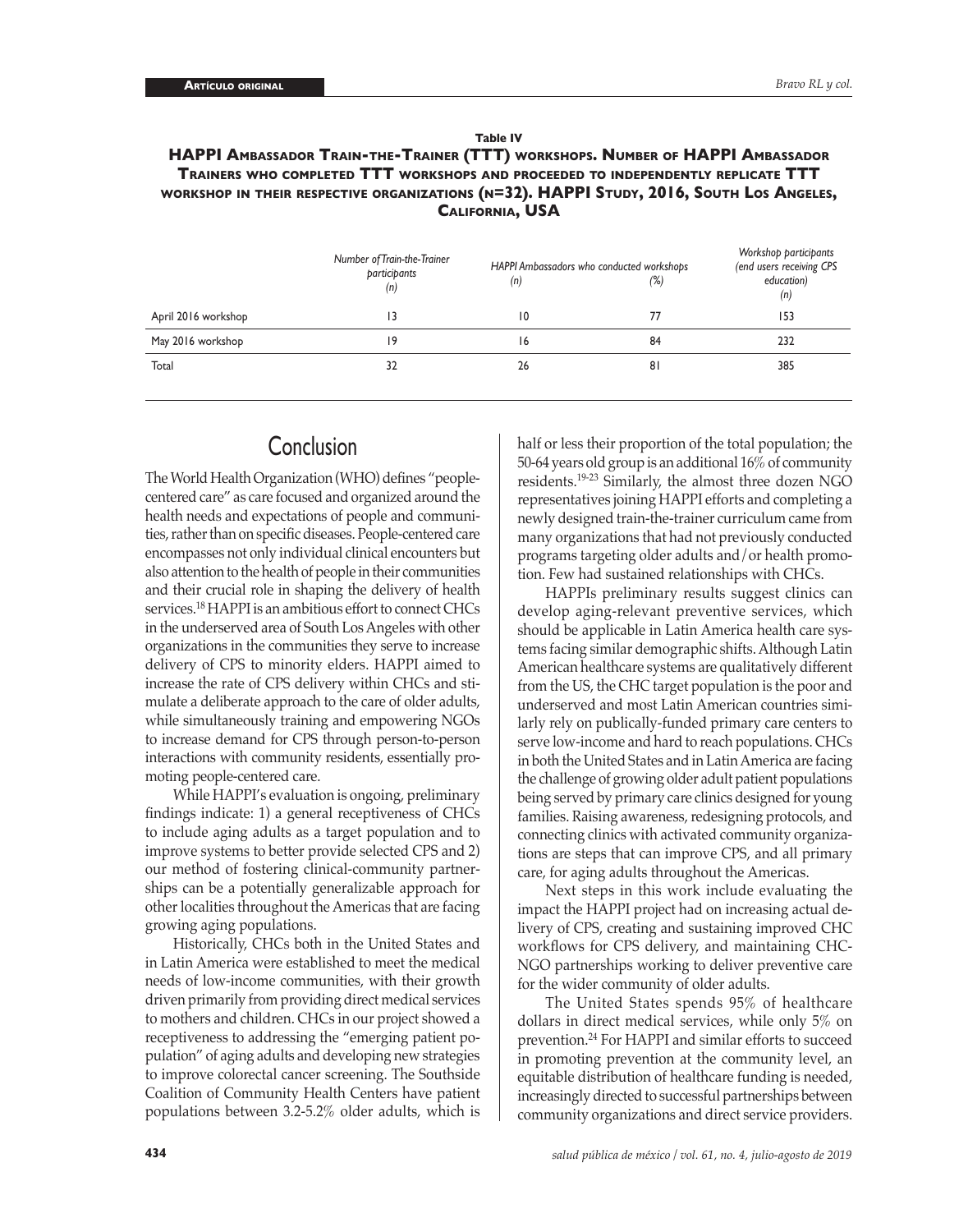| Table TV                                                                                 |
|------------------------------------------------------------------------------------------|
| HAPPI AMBASSADOR TRAIN-THE-TRAINER (TTT) WORKSHOPS. NUMBER OF HAPPI AMBASSADOR           |
| <b>TRAINERS WHO COMPLETED TTT WORKSHOPS AND PROCEEDED TO INDEPENDENTLY REPLICATE TTT</b> |
| WORKSHOP IN THEIR RESPECTIVE ORGANIZATIONS (N=32). HAPPI STUDY, 2016, SOUTH LOS ANGELES, |
| <b>CALIFORNIA, USA</b>                                                                   |

**Table IV**

|                     | Number of Train-the-Trainer<br>participants<br>(n) | (n)             | HAPPI Ambassadors who conducted workshops<br>(%) | Workshop participants<br>(end users receiving CPS<br>education)<br>(n) |
|---------------------|----------------------------------------------------|-----------------|--------------------------------------------------|------------------------------------------------------------------------|
| April 2016 workshop | 13                                                 | $\overline{10}$ | 77                                               | 153                                                                    |
| May 2016 workshop   | 19                                                 | 16              | 84                                               | 232                                                                    |
| Total               | 32                                                 | 26              | 81                                               | 385                                                                    |

## **Conclusion**

The World Health Organization (WHO) defines "peoplecentered care" as care focused and organized around the health needs and expectations of people and communities, rather than on specific diseases. People-centered care encompasses not only individual clinical encounters but also attention to the health of people in their communities and their crucial role in shaping the delivery of health services.18 HAPPI is an ambitious effort to connect CHCs in the underserved area of South Los Angeles with other organizations in the communities they serve to increase delivery of CPS to minority elders. HAPPI aimed to increase the rate of CPS delivery within CHCs and stimulate a deliberate approach to the care of older adults, while simultaneously training and empowering NGOs to increase demand for CPS through person-to-person interactions with community residents, essentially promoting people-centered care.

While HAPPI's evaluation is ongoing, preliminary findings indicate: 1) a general receptiveness of CHCs to include aging adults as a target population and to improve systems to better provide selected CPS and 2) our method of fostering clinical-community partnerships can be a potentially generalizable approach for other localities throughout the Americas that are facing growing aging populations.

Historically, CHCs both in the United States and in Latin America were established to meet the medical needs of low-income communities, with their growth driven primarily from providing direct medical services to mothers and children. CHCs in our project showed a receptiveness to addressing the "emerging patient population" of aging adults and developing new strategies to improve colorectal cancer screening. The Southside Coalition of Community Health Centers have patient populations between 3.2-5.2% older adults, which is

half or less their proportion of the total population; the 50-64 years old group is an additional 16% of community residents.19-23 Similarly, the almost three dozen NGO representatives joining HAPPI efforts and completing a newly designed train-the-trainer curriculum came from many organizations that had not previously conducted programs targeting older adults and/or health promotion. Few had sustained relationships with CHCs.

HAPPIs preliminary results suggest clinics can develop aging-relevant preventive services, which should be applicable in Latin America health care systems facing similar demographic shifts. Although Latin American healthcare systems are qualitatively different from the US, the CHC target population is the poor and underserved and most Latin American countries similarly rely on publically-funded primary care centers to serve low-income and hard to reach populations. CHCs in both the United States and in Latin America are facing the challenge of growing older adult patient populations being served by primary care clinics designed for young families. Raising awareness, redesigning protocols, and connecting clinics with activated community organizations are steps that can improve CPS, and all primary care, for aging adults throughout the Americas.

Next steps in this work include evaluating the impact the HAPPI project had on increasing actual delivery of CPS, creating and sustaining improved CHC workflows for CPS delivery, and maintaining CHC-NGO partnerships working to deliver preventive care for the wider community of older adults.

The United States spends 95% of healthcare dollars in direct medical services, while only 5% on prevention.<sup>24</sup> For HAPPI and similar efforts to succeed in promoting prevention at the community level, an equitable distribution of healthcare funding is needed, increasingly directed to successful partnerships between community organizations and direct service providers.